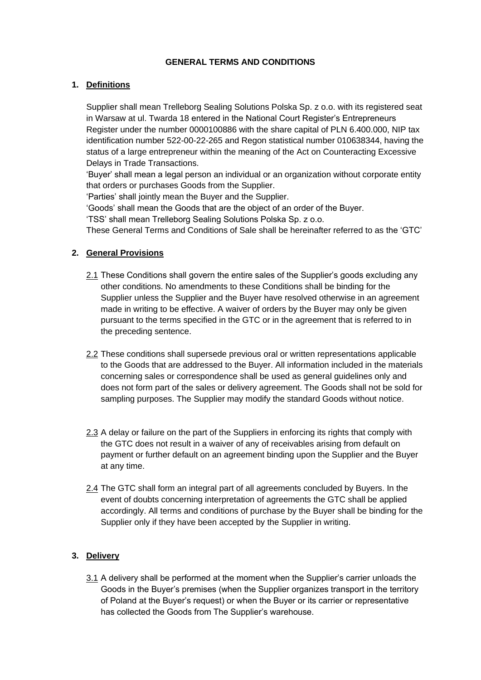### **GENERAL TERMS AND CONDITIONS**

### **1. Definitions**

Supplier shall mean Trelleborg Sealing Solutions Polska Sp. z o.o. with its registered seat in Warsaw at ul. Twarda 18 entered in the National Court Register's Entrepreneurs Register under the number 0000100886 with the share capital of PLN 6.400.000, NIP tax identification number 522-00-22-265 and Regon statistical number 010638344, having the status of a large entrepreneur within the meaning of the Act on Counteracting Excessive Delays in Trade Transactions.

'Buyer' shall mean a legal person an individual or an organization without corporate entity that orders or purchases Goods from the Supplier.

'Parties' shall jointly mean the Buyer and the Supplier.

'Goods' shall mean the Goods that are the object of an order of the Buyer.

'TSS' shall mean Trelleborg Sealing Solutions Polska Sp. z o.o.

These General Terms and Conditions of Sale shall be hereinafter referred to as the 'GTC'

## **2. General Provisions**

- 2.1 These Conditions shall govern the entire sales of the Supplier's goods excluding any other conditions. No amendments to these Conditions shall be binding for the Supplier unless the Supplier and the Buyer have resolved otherwise in an agreement made in writing to be effective. A waiver of orders by the Buyer may only be given pursuant to the terms specified in the GTC or in the agreement that is referred to in the preceding sentence.
- 2.2 These conditions shall supersede previous oral or written representations applicable to the Goods that are addressed to the Buyer. All information included in the materials concerning sales or correspondence shall be used as general guidelines only and does not form part of the sales or delivery agreement. The Goods shall not be sold for sampling purposes. The Supplier may modify the standard Goods without notice.
- 2.3 A delay or failure on the part of the Suppliers in enforcing its rights that comply with the GTC does not result in a waiver of any of receivables arising from default on payment or further default on an agreement binding upon the Supplier and the Buyer at any time.
- 2.4 The GTC shall form an integral part of all agreements concluded by Buyers. In the event of doubts concerning interpretation of agreements the GTC shall be applied accordingly. All terms and conditions of purchase by the Buyer shall be binding for the Supplier only if they have been accepted by the Supplier in writing.

## **3. Delivery**

3.1 A delivery shall be performed at the moment when the Supplier's carrier unloads the Goods in the Buyer's premises (when the Supplier organizes transport in the territory of Poland at the Buyer's request) or when the Buyer or its carrier or representative has collected the Goods from The Supplier's warehouse.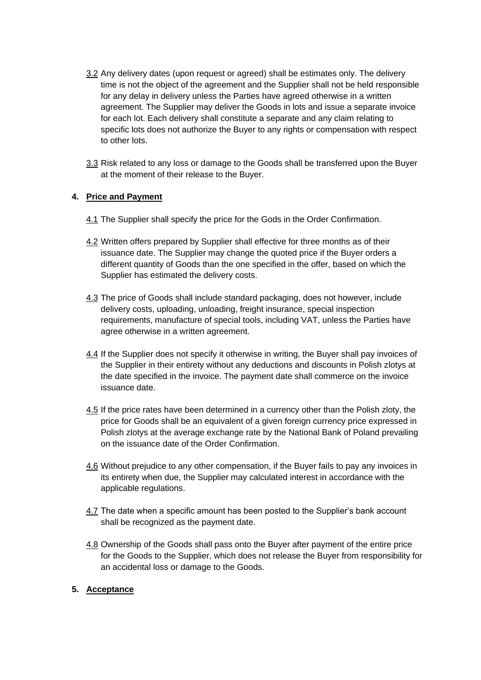- 3.2 Any delivery dates (upon request or agreed) shall be estimates only. The delivery time is not the object of the agreement and the Supplier shall not be held responsible for any delay in delivery unless the Parties have agreed otherwise in a written agreement. The Supplier may deliver the Goods in lots and issue a separate invoice for each lot. Each delivery shall constitute a separate and any claim relating to specific lots does not authorize the Buyer to any rights or compensation with respect to other lots.
- 3.3 Risk related to any loss or damage to the Goods shall be transferred upon the Buyer at the moment of their release to the Buyer.

## **4. Price and Payment**

- 4.1 The Supplier shall specify the price for the Gods in the Order Confirmation.
- 4.2 Written offers prepared by Supplier shall effective for three months as of their issuance date. The Supplier may change the quoted price if the Buyer orders a different quantity of Goods than the one specified in the offer, based on which the Supplier has estimated the delivery costs.
- 4.3 The price of Goods shall include standard packaging, does not however, include delivery costs, uploading, unloading, freight insurance, special inspection requirements, manufacture of special tools, including VAT, unless the Parties have agree otherwise in a written agreement.
- 4.4 If the Supplier does not specify it otherwise in writing, the Buyer shall pay invoices of the Supplier in their entirety without any deductions and discounts in Polish zlotys at the date specified in the invoice. The payment date shall commerce on the invoice issuance date.
- 4.5 If the price rates have been determined in a currency other than the Polish zloty, the price for Goods shall be an equivalent of a given foreign currency price expressed in Polish zlotys at the average exchange rate by the National Bank of Poland prevailing on the issuance date of the Order Confirmation.
- 4.6 Without prejudice to any other compensation, if the Buyer fails to pay any invoices in its entirety when due, the Supplier may calculated interest in accordance with the applicable regulations.
- 4.7 The date when a specific amount has been posted to the Supplier's bank account shall be recognized as the payment date.
- 4.8 Ownership of the Goods shall pass onto the Buyer after payment of the entire price for the Goods to the Supplier, which does not release the Buyer from responsibility for an accidental loss or damage to the Goods.

## **5. Acceptance**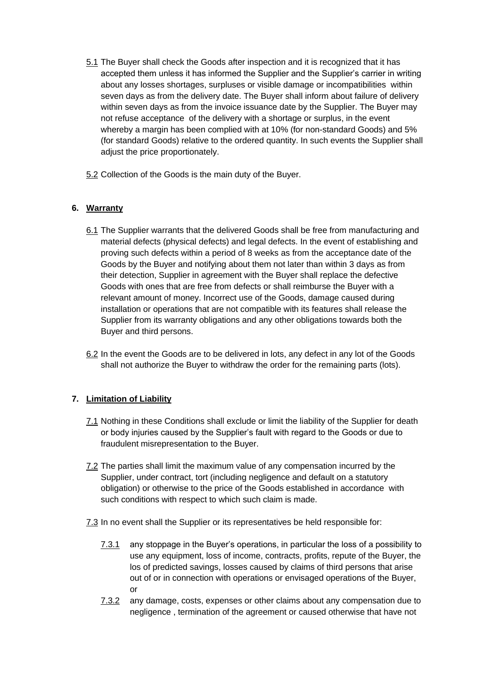- 5.1 The Buyer shall check the Goods after inspection and it is recognized that it has accepted them unless it has informed the Supplier and the Supplier's carrier in writing about any losses shortages, surpluses or visible damage or incompatibilities within seven days as from the delivery date. The Buyer shall inform about failure of delivery within seven days as from the invoice issuance date by the Supplier. The Buyer may not refuse acceptance of the delivery with a shortage or surplus, in the event whereby a margin has been complied with at 10% (for non-standard Goods) and 5% (for standard Goods) relative to the ordered quantity. In such events the Supplier shall adjust the price proportionately.
- 5.2 Collection of the Goods is the main duty of the Buyer.

# **6. Warranty**

- 6.1 The Supplier warrants that the delivered Goods shall be free from manufacturing and material defects (physical defects) and legal defects. In the event of establishing and proving such defects within a period of 8 weeks as from the acceptance date of the Goods by the Buyer and notifying about them not later than within 3 days as from their detection, Supplier in agreement with the Buyer shall replace the defective Goods with ones that are free from defects or shall reimburse the Buyer with a relevant amount of money. Incorrect use of the Goods, damage caused during installation or operations that are not compatible with its features shall release the Supplier from its warranty obligations and any other obligations towards both the Buyer and third persons.
- 6.2 In the event the Goods are to be delivered in lots, any defect in any lot of the Goods shall not authorize the Buyer to withdraw the order for the remaining parts (lots).

## **7. Limitation of Liability**

- 7.1 Nothing in these Conditions shall exclude or limit the liability of the Supplier for death or body injuries caused by the Supplier's fault with regard to the Goods or due to fraudulent misrepresentation to the Buyer.
- 7.2 The parties shall limit the maximum value of any compensation incurred by the Supplier, under contract, tort (including negligence and default on a statutory obligation) or otherwise to the price of the Goods established in accordance with such conditions with respect to which such claim is made.
- 7.3 In no event shall the Supplier or its representatives be held responsible for:
	- 7.3.1 any stoppage in the Buyer's operations, in particular the loss of a possibility to use any equipment, loss of income, contracts, profits, repute of the Buyer, the los of predicted savings, losses caused by claims of third persons that arise out of or in connection with operations or envisaged operations of the Buyer, or
	- 7.3.2 any damage, costs, expenses or other claims about any compensation due to negligence , termination of the agreement or caused otherwise that have not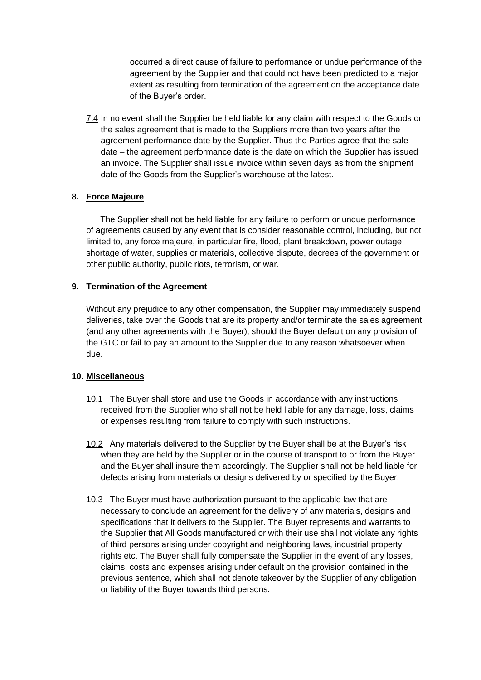occurred a direct cause of failure to performance or undue performance of the agreement by the Supplier and that could not have been predicted to a major extent as resulting from termination of the agreement on the acceptance date of the Buyer's order.

7.4 In no event shall the Supplier be held liable for any claim with respect to the Goods or the sales agreement that is made to the Suppliers more than two years after the agreement performance date by the Supplier. Thus the Parties agree that the sale date – the agreement performance date is the date on which the Supplier has issued an invoice. The Supplier shall issue invoice within seven days as from the shipment date of the Goods from the Supplier's warehouse at the latest.

## **8. Force Majeure**

 The Supplier shall not be held liable for any failure to perform or undue performance of agreements caused by any event that is consider reasonable control, including, but not limited to, any force majeure, in particular fire, flood, plant breakdown, power outage, shortage of water, supplies or materials, collective dispute, decrees of the government or other public authority, public riots, terrorism, or war.

## **9. Termination of the Agreement**

Without any prejudice to any other compensation, the Supplier may immediately suspend deliveries, take over the Goods that are its property and/or terminate the sales agreement (and any other agreements with the Buyer), should the Buyer default on any provision of the GTC or fail to pay an amount to the Supplier due to any reason whatsoever when due.

## **10. Miscellaneous**

- 10.1 The Buyer shall store and use the Goods in accordance with any instructions received from the Supplier who shall not be held liable for any damage, loss, claims or expenses resulting from failure to comply with such instructions.
- 10.2 Any materials delivered to the Supplier by the Buyer shall be at the Buyer's risk when they are held by the Supplier or in the course of transport to or from the Buyer and the Buyer shall insure them accordingly. The Supplier shall not be held liable for defects arising from materials or designs delivered by or specified by the Buyer.
- 10.3 The Buyer must have authorization pursuant to the applicable law that are necessary to conclude an agreement for the delivery of any materials, designs and specifications that it delivers to the Supplier. The Buyer represents and warrants to the Supplier that All Goods manufactured or with their use shall not violate any rights of third persons arising under copyright and neighboring laws, industrial property rights etc. The Buyer shall fully compensate the Supplier in the event of any losses, claims, costs and expenses arising under default on the provision contained in the previous sentence, which shall not denote takeover by the Supplier of any obligation or liability of the Buyer towards third persons.